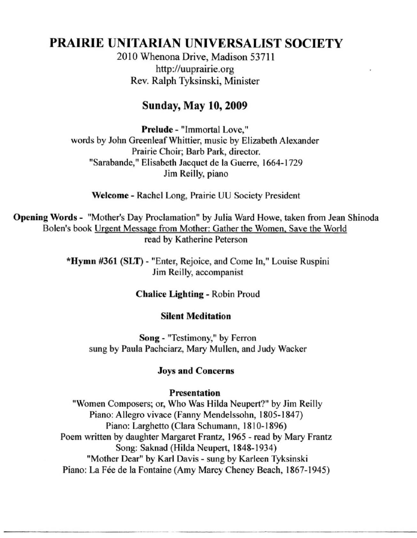# **PRAIRIE** UNITARIAN UNIVERSALIST SOCIETY

2010 Whenona Drive, Madison 53711 http://uuprairie.org Rev. Ralph Tyksinski, Minister

# Sunday, May 10,2009

**Prelude - "Immortal Love,"**  words by John Greenleaf Whittier, music by Elizabeth Alexander Prairie Choir; Barb Park, director. "Sarabande," Elisabeth Jacquet de la Guerre, 1664-1729 Jim Reilly, piano

Welcome - Rachel Long, Prairie UU Society President

Opening Words - "Mother's Day Proclamation" by Julia Ward Howe, taken from Jean Shinoda Bolen's book Urgent Message from Mother: Gather the Women, Save the World read by Katherine Peterson

> "Hymn #361 (SLT) - "Enter, Rejoice, and Come In," Louise Ruspini Jim Reilly, accompanist

> > Chalice Lighting - Robin Proud

#### Silent Meditation

Song - "Testimony," by Ferron sung by Paula Pachciarz, Mary Mullen, and Judy Wacker

#### Joys and Concerns

#### Presentation

"Women Composers; or, Who Was Hilda Neupert?" by Jim Reilly Piano: Allegro vivace (Fanny Mendelssohn, 1805-1847) Piano: Larghetto (Clara Schumann, 1810-1896) Poem written by daughter Margaret Frantz, 1965 - read by Mary Frantz Song: Saknad (Hilda Neupert, 1848-1934) "Mother Dear" by Karl Davis - sung by Karleen Tyksinski Piano: La Fée de la Fontaine (Amy Marcy Cheney Beach, 1867-1945)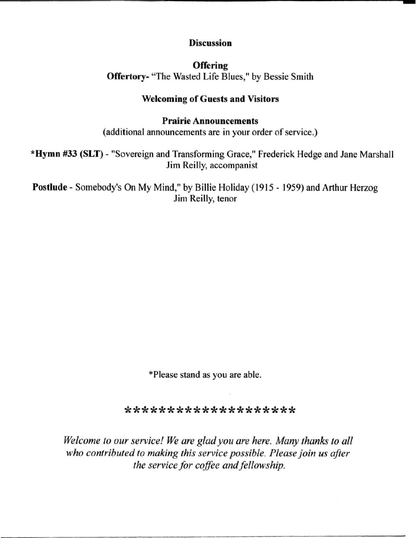#### **Discussion**

**Offering** Offertory- "The Wasted Life Blues," by Bessie Smith

### Welcoming of Guests and Visitors

#### Prairie Announcements

(additional announcements are in your order of service.)

\*Hymn #33 (SLT) - "Sovereign and Transforming Grace," Frederick Hedge and Jane Marshall Jim Reilly, accompanist

Postlude - Somebody's On My Mind," by Billie Holiday (1915 - 1959) and Arthur Herzog Jim Reilly, tenor

'Please stand as you are able.

\*\*\*\*\*\*\*\*\*\*\*\*\*\*\*\*\*\*\*\*

*Welcome to our service! We are glad you are here. Many thanks to all who contributed to making this service possible. Please join us after the service for coffee and fellowship.*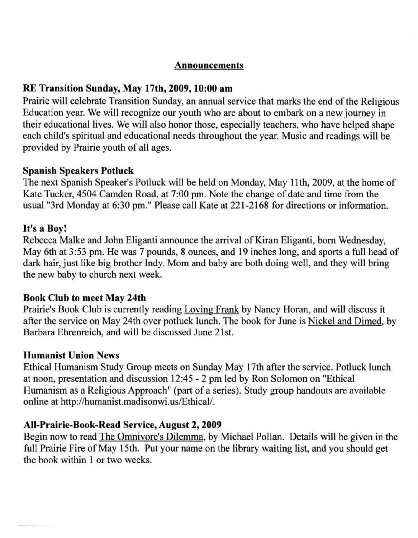#### **Announcements**

# RE Transition Sunday, May 17th, 2009, 10:00 am

Prairie will celebrate Transition Sunday, an annual service that marks the end of the Religious Education year. We will recognize our youth who are about to embark on a new journey in their educational lives. We will also honor those, especially teachers, who have helped shape each child's spiritual and educational needs throughout the year. Music and readings will be provided by Prairie youth of all ages.

#### Spanish Speakers Potluck

The next Spanish Speaker's Potluck will be held on Monday, May II th, 2009, at the home of Kate Tucker, 4504 Camden Road, at 7:00 pm. Note the change of date and time from the usual "3rd Monday at 6:30 pm." Please call Kate at 221-2168 for directions or information.

#### It's a Boy!

Rebecca Malke and John Eliganti announce the arrival of Kiran Eliganti, born Wednesday, May 6th at 3:53 pm. He was 7 pounds, 8 ounces, and 19 inches long, and sports a full head of dark hair, just like big brother Indy. Mom and baby are both doing well, and they will bring the new baby to church next week.

#### Book Club to meet May 24th

Prairie's Book Club is currently reading Loving Frank by Nancy Horan, and will discuss it after the service on May 24th over potluck lunch. The book for June is Nickel and Dimed, by Barbara Ehrenreich, and will be discussed June 21st.

#### Humanist Union News

Ethical Humanism Study Group meets on Sunday May 17th after the service. Potluck lunch at noon, presentation and discussion 12:45 - 2 pm led by Ron Solomon on "Ethical Humanism as a Religious Approach" (part of a series). Study group handouts are available online at http://humanist.madisonwi.us/Ethical/.

#### AII-Prairie-Book-Read Service, August 2, 2009

Begin now to read The Omnivore's Dilemma, by Michael Pollan. Details will be given in the full Prairie Fire of May 15th. Put your name on the library waiting list, and you should get the book within I or two weeks.